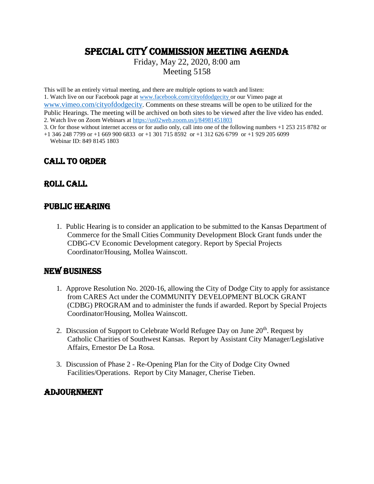# Special CITY COMMISSION MEETING AGENDA

Friday, May 22, 2020, 8:00 am Meeting 5158

This will be an entirely virtual meeting, and there are multiple options to watch and listen: 1. Watch live on our Facebook page at [www.facebook.com/cityofdodgecity](https://gcc01.safelinks.protection.outlook.com/?url=http%3A%2F%2Fwww.facebook.com%2Fcityofdodgecity&data=02%7C01%7CLinda.Hunsicker%40ks.gov%7C59a8e6cf19604d5f009e08d7f7743a50%7Cdcae8101c92d480cbc43c6761ccccc5a%7C0%7C0%7C637249950894029547&sdata=B%2Bj2eTk9GkzHdfz0b88I%2FiNXc2HutpCCOryK5oWfYYY%3D&reserved=0) or our Vimeo page at [www.vimeo.com/cityofdodgecity](http://www.vimeo.com/cityofdodgecity). Comments on these streams will be open to be utilized for the Public Hearings. The meeting will be archived on both sites to be viewed after the live video has ended. 2. Watch live on Zoom Webinars at [https://us02web.zoom.us/j/84981451803](https://gcc01.safelinks.protection.outlook.com/?url=https%3A%2F%2Fus02web.zoom.us%2Fj%2F84981451803&data=02%7C01%7CLinda.Hunsicker%40ks.gov%7C59a8e6cf19604d5f009e08d7f7743a50%7Cdcae8101c92d480cbc43c6761ccccc5a%7C0%7C0%7C637249950894029547&sdata=oHwjTUxZXLK9%2FtfjyZr9vfmgk09SPIFYBT8%2F192fc78%3D&reserved=0)

3. Or for those without internet access or for audio only, call into one of the following numbers +1 253 215 8782 or

+1 346 248 7799 or +1 669 900 6833 or +1 301 715 8592 or +1 312 626 6799 or +1 929 205 6099

Webinar ID: 849 8145 1803

## CALL TO ORDER

### ROLL CALL

### PUBLIC HEARING

1. Public Hearing is to consider an application to be submitted to the Kansas Department of Commerce for the Small Cities Community Development Block Grant funds under the CDBG-CV Economic Development category. Report by Special Projects Coordinator/Housing, Mollea Wainscott.

### New Business

- 1. Approve Resolution No. 2020-16, allowing the City of Dodge City to apply for assistance from CARES Act under the COMMUNITY DEVELOPMENT BLOCK GRANT (CDBG) PROGRAM and to administer the funds if awarded. Report by Special Projects Coordinator/Housing, Mollea Wainscott.
- 2. Discussion of Support to Celebrate World Refugee Day on June  $20<sup>th</sup>$ . Request by Catholic Charities of Southwest Kansas. Report by Assistant City Manager/Legislative Affairs, Ernestor De La Rosa.
- 3. Discussion of Phase 2 Re-Opening Plan for the City of Dodge City Owned Facilities/Operations. Report by City Manager, Cherise Tieben.

### ADJOURNMENT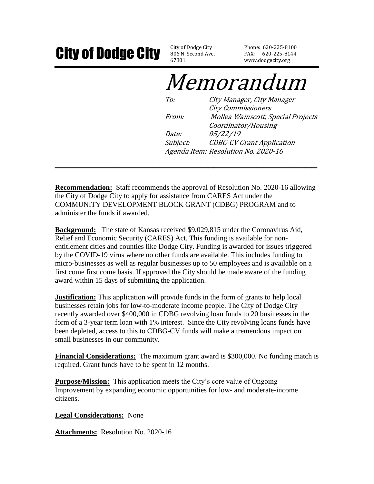# City of Dodge City SO6 N. Second Ave

806 N. Second Ave. 67801

Phone: 620-225-8100 FAX: 620-225-8144 www.dodgecity.org

# Memorandum

To: City Manager, City Manager City Commissioners From: Mollea Wainscott, Special Projects Coordinator/Housing Date: 05/22/19 Subject: CDBG-CV Grant Application Agenda Item: Resolution No. 2020-16 **\_\_\_\_\_\_\_\_\_\_\_\_\_\_\_\_\_\_\_\_\_\_\_\_\_\_\_\_\_\_\_\_\_\_\_\_\_\_\_\_\_\_\_**

**Recommendation:** Staff recommends the approval of Resolution No. 2020-16 allowing the City of Dodge City to apply for assistance from CARES Act under the COMMUNITY DEVELOPMENT BLOCK GRANT (CDBG) PROGRAM and to administer the funds if awarded.

**Background:** The state of Kansas received \$9,029,815 under the Coronavirus Aid, Relief and Economic Security (CARES) Act. This funding is available for nonentitlement cities and counties like Dodge City. Funding is awarded for issues triggered by the COVID-19 virus where no other funds are available. This includes funding to micro-businesses as well as regular businesses up to 50 employees and is available on a first come first come basis. If approved the City should be made aware of the funding award within 15 days of submitting the application.

**Justification:** This application will provide funds in the form of grants to help local businesses retain jobs for low-to-moderate income people. The City of Dodge City recently awarded over \$400,000 in CDBG revolving loan funds to 20 businesses in the form of a 3-year term loan with 1% interest. Since the City revolving loans funds have been depleted, access to this to CDBG-CV funds will make a tremendous impact on small businesses in our community.

**Financial Considerations:** The maximum grant award is \$300,000. No funding match is required. Grant funds have to be spent in 12 months.

**Purpose/Mission:** This application meets the City's core value of Ongoing Improvement by expanding economic opportunities for low- and moderate-income citizens.

### **Legal Considerations:** None

**Attachments:** Resolution No. 2020-16